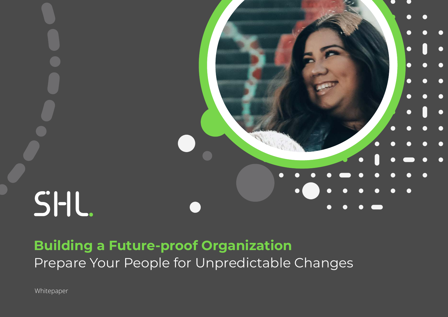

# **Building a Future-proof Organization** Prepare Your People for Unpredictable Changes

Whitepaper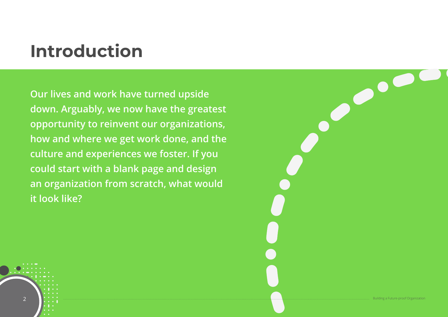# **Introduction**

**Our lives and work have turned upside down. Arguably, we now have the greatest opportunity to reinvent our organizations, how and where we get work done, and the culture and experiences we foster. If you could start with a blank page and design an organization from scratch, what would it look like?**

2 Building a Future-proof Organization and the set of the set of the set of the set of the set of the set of the set of the set of the set of the set of the set of the set of the set of the set of the set of the set of the

 $\bullet$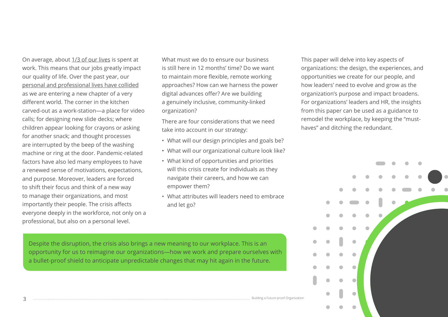On average, about [1/3 of our lives](https://www.gettysburg.edu/news/stories?id=79db7b34-630c-4f49-ad32-4ab9ea48e72b) is spent at work. This means that our jobs greatly impact our quality of life. Over the past year, our [personal and professional lives have collided](https://www.shl.com/en/blog/when-home-becomes-work-a-reinvention-of-our-working-lives/) as we are entering a new chapter of a very different world. The corner in the kitchen carved-out as a work-station—a place for video calls; for designing new slide decks; where children appear looking for crayons or asking for another snack; and thought processes are interrupted by the beep of the washing machine or ring at the door. Pandemic-related factors have also led many employees to have a renewed sense of motivations, expectations, and purpose. Moreover, leaders are forced to shift their focus and think of a new way to manage their organizations, and most importantly their people. The crisis affects everyone deeply in the workforce, not only on a professional, but also on a personal level.

What must we do to ensure our business is still here in 12 months' time? Do we want to maintain more flexible, remote working approaches? How can we harness the power digital advances offer? Are we building a genuinely inclusive, community-linked organization?

There are four considerations that we need take into account in our strategy:

- What will our design principles and goals be?
- What will our organizational culture look like?
- What kind of opportunities and priorities will this crisis create for individuals as they navigate their careers, and how we can empower them?
- What attributes will leaders need to embrace and let go?

This paper will delve into key aspects of organizations: the design, the experiences, and opportunities we create for our people, and how leaders' need to evolve and grow as the organization's purpose and impact broadens. For organizations' leaders and HR, the insights from this paper can be used as a guidance to remodel the workplace, by keeping the "musthaves" and ditching the redundant.



Despite the disruption, the crisis also brings a new meaning to our workplace. This is an opportunity for us to reimagine our organizations—how we work and prepare ourselves with a bullet-proof shield to anticipate unpredictable changes that may hit again in the future.

3 Building a Future-proof Organization and the set of the set of the set of the set of the set of the set of the set of the set of the set of organization and the set of the set of the set of the set of the set of the set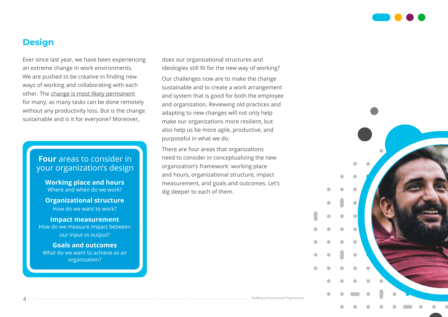

### **Design**

Ever since last year, we have been experiencing an extreme change in work environments. We are pushed to be creative in finding new ways of working and collaborating with each other. The [change is most likely permanent](https://www.mckinsey.com/featured-insights/future-of-work/whats-next-for-remote-work-an-analysis-of-2000-tasks-800-jobs-and-nine-countries) for many, as many tasks can be done remotely without any productivity loss. But is the change sustainable and is it for everyone? Moreover,

#### **Four** areas to consider in your organization's design

**Working place and hours** Where and when do we work?

**Organizational structure** How do we want to work?

**Impact measurement** How do we measure impact between our input vs output?

**Goals and outcomes** What do we want to achieve as an organization?

does our organizational structures and ideologies still fit for the new way of working?

Our challenges now are to make the change sustainable and to create a work arrangement and system that is good for both the employee and organization. Reviewing old practices and adapting to new changes will not only help make our organizations more resilient, but also help us be more agile, productive, and purposeful in what we do.

There are four areas that organizations need to consider in conceptualizing the new organization's framework: working place and hours, organizational structure, impact measurement, and goals and outcomes. Let's dig deeper to each of them.

 $4$  Building a Future-proof Organization and the set of the set of the set of the set of the set of the set of the set of the set of the set of  $\alpha$  set of  $\alpha$  set of  $\alpha$  set of  $\alpha$  set of  $\alpha$  set of  $\alpha$  set of  $\alpha$  s

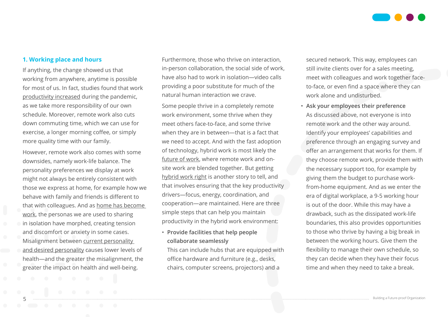

#### **1. Working place and hours**

If anything, the change showed us that working from anywhere, anytime is possible for most of us. In fact, studies found that work [productivity increased](https://hbr.org/2020/08/research-knowledge-workers-are-more-productive-from-home) during the pandemic, as we take more responsibility of our own schedule. Moreover, remote work also cuts down commuting time, which we can use for exercise, a longer morning coffee, or simply more quality time with our family.

However, remote work also comes with some downsides, namely work-life balance. The personality preferences we display at work might not always be entirely consistent with those we express at home, for example how we behave with family and friends is different to that with colleagues. And as [home has become](https://www.shl.com/en/blog/when-home-becomes-work-a-reinvention-of-our-working-lives/)  [work,](https://www.shl.com/en/blog/when-home-becomes-work-a-reinvention-of-our-working-lives/) the personas we are used to sharing in isolation have morphed, creating tension and discomfort or anxiety in some cases. Misalignment between [current personality](https://www.shl.com/en/blog/should-we-try-to-adapt-our-personalities-to-succeed-in-an-evolving-workplace/)  [and desired personality](https://www.shl.com/en/blog/should-we-try-to-adapt-our-personalities-to-succeed-in-an-evolving-workplace/) causes lower levels of health—and the greater the misalignment, the greater the impact on health and well-being.

Furthermore, those who thrive on interaction, in-person collaboration, the social side of work, have also had to work in isolation—video calls providing a poor substitute for much of the natural human interaction we crave.

Some people thrive in a completely remote work environment, some thrive when they meet others face-to-face, and some thrive when they are in between—that is a fact that we need to accept. And with the fast adoption of technology, hybrid work is most likely the [future of work](https://www.mckinsey.com/featured-insights/future-of-work/the-future-of-work-after-covid-19), where remote work and onsite work are blended together. But getting [hybrid work right](https://hbr.org/2021/05/how-to-do-hybrid-right) is another story to tell, and that involves ensuring that the key productivity drivers—focus, energy, coordination, and cooperation—are maintained. Here are three simple steps that can help you maintain productivity in the hybrid work environment:

• **Provide facilities that help people collaborate seamlessly**

This can include hubs that are equipped with office hardware and furniture (e.g., desks, chairs, computer screens, projectors) and a

secured network. This way, employees can still invite clients over for a sales meeting, meet with colleagues and work together faceto-face, or even find a space where they can work alone and undisturbed.

• **Ask your employees their preference** As discussed above, not everyone is into remote work and the other way around. Identify your employees' capabilities and preference through an engaging survey and offer an arrangement that works for them. If they choose remote work, provide them with the necessary support too, for example by giving them the budget to purchase workfrom-home equipment. And as we enter the era of digital workplace, a 9-5 working hour is out of the door. While this may have a drawback, such as the dissipated work-life boundaries, this also provides opportunities to those who thrive by having a big break in between the working hours. Give them the flexibility to manage their own schedule, so they can decide when they have their focus time and when they need to take a break.

5 Building a Future-proof Organization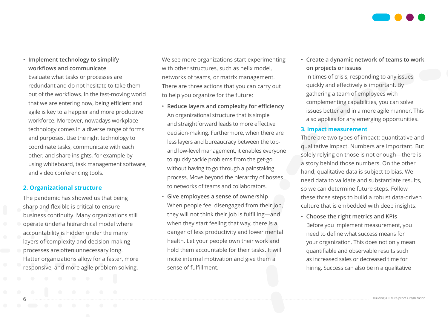

• **Implement technology to simplify workflows and communicate** Evaluate what tasks or processes are redundant and do not hesitate to take them out of the workflows. In the fast-moving world that we are entering now, being efficient and agile is key to a happier and more productive workforce. Moreover, nowadays workplace technology comes in a diverse range of forms and purposes. Use the right technology to coordinate tasks, communicate with each other, and share insights, for example by using whiteboard, task management software, and video conferencing tools.

#### **2. Organizational structure**

The pandemic has showed us that being sharp and flexible is critical to ensure business continuity. Many organizations still operate under a hierarchical model where accountability is hidden under the many layers of complexity and decision-making processes are often unnecessary long. Flatter organizations allow for a faster, more responsive, and more agile problem solving.

We see more organizations start experimenting with other structures, such as helix model, networks of teams, or matrix management. There are three actions that you can carry out to help you organize for the future:

- **Reduce layers and complexity for efficiency** An organizational structure that is simple and straightforward leads to more effective decision-making. Furthermore, when there are less layers and bureaucracy between the topand low-level management, it enables everyone to quickly tackle problems from the get-go without having to go through a painstaking process. Move beyond the hierarchy of bosses to networks of teams and collaborators.
- **Give employees a sense of ownership** When people feel disengaged from their job, they will not think their job is fulfilling—and when they start feeling that way, there is a danger of less productivity and lower mental health. Let your people own their work and hold them accountable for their tasks. It will incite internal motivation and give them a sense of fulfillment.

• **Create a dynamic network of teams to work on projects or issues**

In times of crisis, responding to any issues quickly and effectively is important. By gathering a team of employees with complementing capabilities, you can solve issues better and in a more agile manner. This also applies for any emerging opportunities.

#### **3. Impact measurement**

There are two types of impact: quantitative and qualitative impact. Numbers are important. But solely relying on those is not enough—there is a story behind those numbers. On the other hand, qualitative data is subject to bias. We need data to validate and substantiate results, so we can determine future steps. Follow these three steps to build a robust data-driven culture that is embedded with deep insights:

• **Choose the right metrics and KPIs** Before you implement measurement, you need to define what success means for your organization. This does not only mean quantifiable and observable results such as increased sales or decreased time for hiring. Success can also be in a qualitative

 $6$  Building a Future-proof Organization and the set of the set of the set of the set of the set of the set of the set of the set of the set of the set of the set of  $\sim$  Building a Future-proof Organization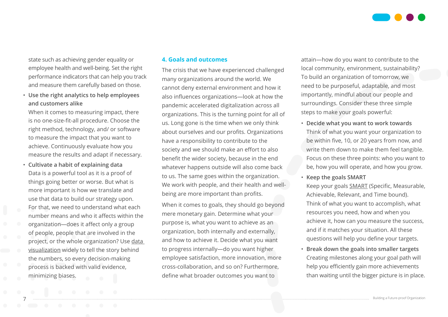

state such as achieving gender equality or employee health and well-being. Set the right performance indicators that can help you track and measure them carefully based on those.

• **Use the right analytics to help employees and customers alike**

When it comes to measuring impact, there is no one-size-fit-all procedure. Choose the right method, technology, and/ or software to measure the impact that you want to achieve. Continuously evaluate how you measure the results and adapt if necessary.

• **Cultivate a habit of explaining data** Data is a powerful tool as it is a proof of things going better or worse. But what is more important is how we translate and use that data to build our strategy upon. For that, we need to understand what each number means and who it affects within the organization—does it affect only a group of people, people that are involved in the project, or the whole organization? Use [data](https://anchor.fm/shl-podcasts/episodes/The-Ultimate-Tool-to-Influence-Data-e14cc95/a-a64flt3)  [visualization](https://anchor.fm/shl-podcasts/episodes/The-Ultimate-Tool-to-Influence-Data-e14cc95/a-a64flt3) widely to tell the story behind the numbers, so every decision-making process is backed with valid evidence, minimizing biases.

#### **4. Goals and outcomes**

The crisis that we have experienced challenged many organizations around the world. We cannot deny external environment and how it also influences organizations—look at how the pandemic accelerated digitalization across all organizations. This is the turning point for all of us. Long gone is the time when we only think about ourselves and our profits. Organizations have a responsibility to contribute to the society and we should make an effort to also benefit the wider society, because in the end whatever happens outside will also come back to us. The same goes within the organization. We work with people, and their health and wellbeing are more important than profits.

When it comes to goals, they should go beyond mere monetary gain. Determine what your purpose is, what you want to achieve as an organization, both internally and externally, and how to achieve it. Decide what you want to progress internally—do you want higher employee satisfaction, more innovation, more cross-collaboration, and so on? Furthermore, define what broader outcomes you want to

attain—how do you want to contribute to the local community, environment, sustainability? To build an organization of tomorrow, we need to be purposeful, adaptable, and most importantly, mindful about our people and surroundings. Consider these three simple steps to make your goals powerful:

- **Decide what you want to work towards** Think of what you want your organization to be within five, 10, or 20 years from now, and write them down to make them feel tangible. Focus on these three points: who you want to be, how you will operate, and how you grow.
- **Keep the goals SMART**

Keep your goals [SMART](https://www.mindtools.com/pages/article/smart-goals.htm) (Specific, Measurable, Achievable, Relevant, and Time bound). Think of what you want to accomplish, what resources you need, how and when you achieve it, how can you measure the success, and if it matches your situation. All these questions will help you define your targets.

• **Break down the goals into smaller targets** Creating milestones along your goal path will help you efficiently gain more achievements than waiting until the bigger picture is in place.

 $7$  building a Future-proof Organization and the set of the set of the set of the set of the set of the set of the set of the set of the set of the set of the set of  $\sim$  Building a Future-proof Organization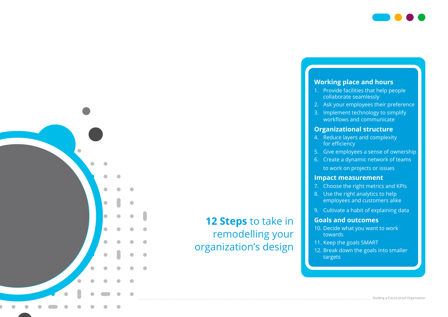



- 1. Provide facilities that help people collaborate seamlessly
- 2. Ask your employees their preference
- 3. Implement technology to simplify workflows and communicate

#### **Organizational structure**

- 4. Reduce layers and complexity for efficiency
- 5. Give employees a sense of ownership
- 6. Create a dynamic network of teams to work on projects or issues

#### **Impact measurement**

- 7. Choose the right metrics and KPIs
- 8. Use the right analytics to help employees and customers alike
- 9. Cultivate a habit of explaining data

#### **Goals and outcomes**

- 10. Decide what you want to work towards
- 11. Keep the goals SMART
- 12. Break down the goals into smaller targets

## **12 Steps** to take in remodelling your organization's design

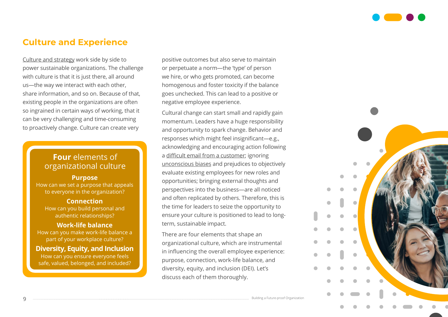

### **Culture and Experience**

[Culture and strategy](https://www.shl.com/en/blog/the-pandemic-offers-a-unique-opportunity-for-us-to-purposefully-design-and-re-set-our-organizational-cultures/) work side by side to power sustainable organizations. The challenge with culture is that it is just there, all around us—the way we interact with each other, share information, and so on. Because of that, existing people in the organizations are often so ingrained in certain ways of working, that it can be very challenging and time-consuming to proactively change. Culture can create very

#### **Four** elements of organizational culture

#### **Purpose**

How can we set a purpose that appeals to everyone in the organization?

#### **Connection**

How can you build personal and authentic relationships?

#### **Work-life balance**

How can you make work-life balance a part of your workplace culture?

#### **Diversity, Equity, and Inclusion** How can you ensure everyone feels

safe, valued, belonged, and included?

positive outcomes but also serve to maintain or perpetuate a norm—the 'type' of person we hire, or who gets promoted, can become homogenous and foster toxicity if the balance goes unchecked. This can lead to a positive or negative employee experience.

Cultural change can start small and rapidly gain momentum. Leaders have a huge responsibility and opportunity to spark change. Behavior and responses which might feel insignificant—e.g., acknowledging and encouraging action following a [difficult email from a customer](https://www.inc.com/justin-bariso/1-word-email-apple-ceo-tim-cook-steve-jobs-master-class-emotional-intelligence.html#:~:text=This%201%2DWord%20Email%20From%20Apple%20CEO%20Tim%20Cook%20Is,Master%20Class%20in%20Emotional%20Intelligence); ignoring [unconscious biases](https://www.shl.com/en/blog/rethinking-racism-how-to-work-on-our-unconscious-bias-for-a-promising-future/) and prejudices to objectively evaluate existing employees for new roles and opportunities; bringing external thoughts and perspectives into the business—are all noticed and often replicated by others. Therefore, this is the time for leaders to seize the opportunity to ensure your culture is positioned to lead to longterm, sustainable impact.

There are four elements that shape an organizational culture, which are instrumental in influencing the overall employee experience: purpose, connection, work-life balance, and diversity, equity, and inclusion (DEI). Let's discuss each of them thoroughly.

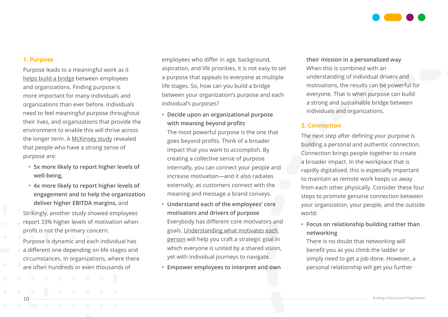

#### **1. Purpose**

Purpose leads to a meaningful work as it [helps build a bridge](https://www.shl.com/en/blog/the-power-of-purpose-and-how-it-can-build-a-bridge/) between employees and organizations. Finding purpose is more important for many individuals and organizations than ever before. Individuals need to feel meaningful purpose throughout their lives, and organizations that provide the environment to enable this will thrive across the longer term. A [McKinsey study](https://www.mckinsey.com/business-functions/organization/our-insights/igniting-individual-purpose-in-times-of-crisis) revealed that people who have a strong sense of purpose are:

- **5x more likely to report higher levels of well-being,**
- **4x more likely to report higher levels of engagement and to help the organization deliver higher EBITDA margins,** and

Strikingly, another study showed employees report 33% higher levels of motivation when profit is not the primary concern.

Purpose is dynamic and each individual has a different one depending on life stages and circumstances. In organizations, where there are often hundreds or even thousands of

employees who differ in age, background, aspiration, and life priorities, it is not easy to set a purpose that appeals to everyone at multiple life stages. So, how can you build a bridge between your organization's purpose and each individual's purposes?

- **Decide upon an organizational purpose with meaning beyond profits** The most powerful purpose is the one that goes beyond profits. Think of a broader impact that you want to accomplish. By creating a collective sense of purpose internally, you can connect your people and increase motivation—and it also radiates externally, as customers connect with the meaning and message a brand conveys.
- **Understand each of the employees' core motivators and drivers of purpose** Everybody has different core motivators and goals. [Understanding what motivates each](https://www.shl.com/en/assessments/personality/shl-motivation-questionnaire-mq/)  [person](https://www.shl.com/en/assessments/personality/shl-motivation-questionnaire-mq/) will help you craft a strategic goal in which everyone is united by a shared vision, yet with individual journeys to navigate.
- **Empower employees to interpret and own**

**their mission in a personalized way**  When this is combined with an understanding of individual drivers and motivations, the results can be powerful for everyone. That is when purpose can build a strong and sustainable bridge between individuals and organizations.

#### **2. Connection**

The next step after defining your purpose is building a personal and authentic connection. Connection brings people together to create a broader impact. In the workplace that is rapidly digitalized, this is especially important to maintain as remote work keeps us away from each other physically. Consider these four steps to promote genuine connection between your organization, your people, and the outside world:

• **Focus on relationship building rather than networking**

There is no doubt that networking will benefit you as you climb the ladder or simply need to get a job done. However, a personal relationship will get you further

o and the contract of the contract of the contract of the contract of the contract of the contract of the contract of the contract of the contract of the contract of the contract of the contract of the contract of the con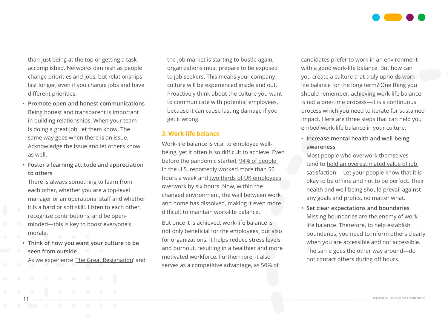

than just being at the top or getting a task accomplished. Networks diminish as people change priorities and jobs, but relationships last longer, even if you change jobs and have different priorities.

- **Promote open and honest communications** Being honest and transparent is important in building relationships. When your team is doing a great job, let them know. The same way goes when there is an issue. Acknowledge the issue and let others know as well.
- **Foster a learning attitude and appreciation to others**

There is always something to learn from each other, whether you are a top-level manager or an operational staff and whether it is a hard or soft skill. Listen to each other, recognize contributions, and be openminded—this is key to boost everyone's morale.

• **Think of how you want your culture to be seen from outside**

As we experience '[The Great Resignation](https://www.forbes.com/sites/forbescoachescouncil/2021/08/02/what-is-the-great-resignation-and-how-will-this-affect-job-seekers/)' and

the [job market is starting to bustle](https://fortune.com/2021/07/01/us-job-market-september-2021/) again, organizations must prepare to be exposed to job seekers. This means your company culture will be experienced inside and out. Proactively think about the culture you want to communicate with potential employees, because it can [cause lasting damage](https://www.shl.com/en/blog/is-elevating-candidate-experience-an-art-or-a-science/) if you get it wrong.

#### **3. Work-life balance**

Work-life balance is vital to employee wellbeing, yet it often is so difficult to achieve. Even before the pandemic started, [94% of people](https://hbr.org/2009/10/making-time-off-predictable-and-required)  [in the U.S.](https://hbr.org/2009/10/making-time-off-predictable-and-required) reportedly worked more than 50 hours a week and [two thirds of UK employees](https://www.siliconrepublic.com/careers/overworking-unpaid-labour-uk-workers) overwork by six hours. Now, within the changed environment, the wall between work and home has dissolved, making it even more difficult to maintain work-life balance.

But once it is achieved, work-life balance is not only beneficial for the employees, but also for organizations. It helps reduce stress levels and burnout, resulting in a healthier and more motivated workforce. Furthermore, it also serves as a competitive advantage, as [50% of](https://www.forbes.com/sites/ellevate/2020/07/23/millennials-want-a-healthy-work-life-balance-heres-what-bosses-can-do/?sh=6a3f257b7614) 

[candidates](https://www.forbes.com/sites/ellevate/2020/07/23/millennials-want-a-healthy-work-life-balance-heres-what-bosses-can-do/?sh=6a3f257b7614) prefer to work in an environment with a good work-life balance. But how can you create a culture that truly upholds worklife balance for the long term? One thing you should remember, achieving work-life balance is not a one-time process—it is a continuous process which you need to iterate for sustained impact. Here are three steps that can help you embed work-life balance in your culture:

• **Increase mental health and well-being awareness**

Most people who overwork themselves tend to [hold an overestimated value of job](https://link.springer.com/article/10.1007/s10902-018-0008-x)  satisfaction- Let your people know that it is okay to be offline and not to be perfect. Their health and well-being should prevail against any goals and profits, no matter what.

• **Set clear expectations and boundaries** Missing boundaries are the enemy of worklife balance. Therefore, to help establish boundaries, you need to inform others clearly when you are accessible and not accessible. The same goes the other way around—do not contact others during off hours.

11 Building a Future-proof Organization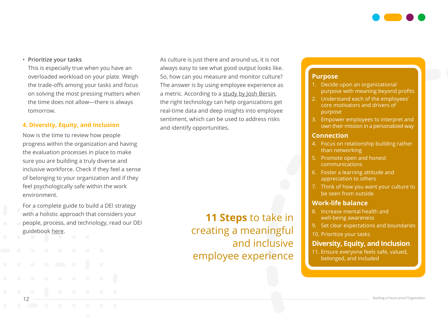

#### • **Prioritize your tasks**

This is especially true when you have an overloaded workload on your plate. Weigh the trade-offs among your tasks and focus on solving the most pressing matters when the time does not allow—there is always tomorrow.

#### **4. Diversity, Equity, and Inclusion**

Now is the time to review how people progress within the organization and having the evaluation processes in place to make sure you are building a truly diverse and inclusive workforce. Check if they feel a sense of belonging to your organization and if they feel psychologically safe within the work environment.

For a complete guide to build a DEI strategy with a holistic approach that considers your people, process, and technology, read our DEI guidebook [here.](https://www.shl.com/en/resources/dei-guidebook/)

As culture is just there and around us, it is not always easy to see what good output looks like. So, how can you measure and monitor culture? The answer is by using employee experience as a metric. According to a [study by Josh Bersin](https://joshbersin.com/ex-definitive-guide-2021/), the right technology can help organizations get real-time data and deep insights into employee sentiment, which can be used to address risks and identify opportunities.

> **11 Steps** to take in creating a meaningful and inclusive employee experience

#### **Purpose**

- 1. Decide upon an organizational purpose with meaning beyond profits
- 2. Understand each of the employees' core motivators and drivers of purpose
- 3. Empower employees to interpret and own their mission in a personalized way

#### **Connection**

- 4. Focus on relationship building rather than networking
- 5. Promote open and honest communications
- 6. Foster a learning attitude and appreciation to others
- 7. Think of how you want your culture to be seen from outside

#### **Work-life balance**

- 8. Increase mental health and well-being awareness
- 9. Set clear expectations and boundaries
- 10. Prioritize your tasks

#### **Diversity, Equity, and Inclusion**

11. Ensure everyone feels safe, valued, belonged, and included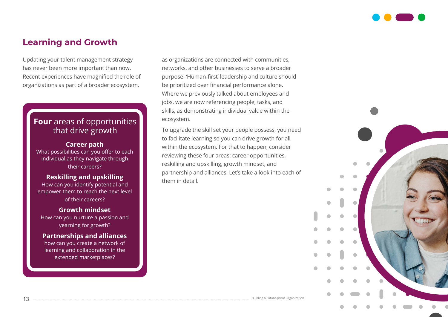

### **Learning and Growth**

[Updating your talent management](https://www.shl.com/en/blog/people-and-organizations-v-20-20-updating-talent-management/) strategy has never been more important than now. Recent experiences have magnified the role of organizations as part of a broader ecosystem,

#### **Four** areas of opportunities that drive growth

#### **Career path**

What possibilities can you offer to each individual as they navigate through their careers?

#### **Reskilling and upskilling**

How can you identify potential and empower them to reach the next level of their careers?

#### **Growth mindset**

How can you nurture a passion and yearning for growth?

#### **Partnerships and alliances**

how can you create a network of learning and collaboration in the extended marketplaces?

13 **Building a Future-proof Organization** 

as organizations are connected with communities, networks, and other businesses to serve a broader purpose. 'Human-first' leadership and culture should be prioritized over financial performance alone. Where we previously talked about employees and jobs, we are now referencing people, tasks, and skills, as demonstrating individual value within the ecosystem.

To upgrade the skill set your people possess, you need to facilitate learning so you can drive growth for all within the ecosystem. For that to happen, consider reviewing these four areas: career opportunities, reskilling and upskilling, growth mindset, and partnership and alliances. Let's take a look into each of them in detail.

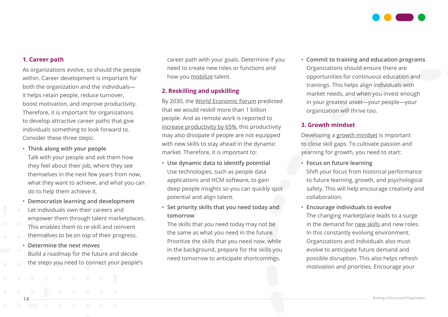

#### **1. Career path**

As organizations evolve, so should the people within. Career development is important for both the organization and the individuals it helps retain people, reduce turnover, boost motivation, and improve productivity. Therefore, it is important for organizations to develop attractive career paths that give individuals something to look forward to. Consider these three steps:

- **Think along with your people** Talk with your people and ask them how they feel about their job, where they see themselves in the next few years from now, what they want to achieve, and what you can do to help them achieve it.
- **Democratize learning and development** Let individuals own their careers and empower them through talent marketplaces. This enables them to re-skill and reinvent themselves to be on top of their progress.
- **Determine the next moves** Build a roadmap for the future and decide the steps you need to connect your people's

career path with your goals. Determine if you need to create new roles or functions and how you [mobilize](https://www.shl.com/en/solutions/identify-develop-leaders/mobilize/) talent.

#### **2. Reskilling and upskilling**

By 2030, the [World Economic Forum](https://www.weforum.org/agenda/2020/01/reskilling-revolution-jobs-future-skills/) predicted that we would reskill more than 1 billion people. And as remote work is reported to [increase productivity by 65%](https://www.forbes.com/sites/forbestechcouncil/2020/12/21/why-employee-upskilling-and-reskilling-is-so-important-right-now/?sh=6ad679db3302), this productivity may also dissipate if people are not equipped with new skills to stay ahead in the dynamic market. Therefore, it is important to:

- **Use dynamic data to identify potential** Use technologies, such as people data applications and HCM software, to gain deep people insights so you can quickly spot potential and align talent.
- **Set priority skills that you need today and tomorrow**

The skills that you need today may not be the same as what you need in the future. Prioritize the skills that you need now, while in the background, prepare for the skills you need tomorrow to anticipate shortcomings.

• **Commit to training and education programs** Organizations should ensure there are opportunities for continuous education and trainings. This helps align individuals with market needs, and when you invest enough in your greatest asset—your people—your organization will thrive too.

#### **3. Growth mindset**

Developing a [growth mindset](https://www.shl.com/en/blog/how-to-solve-your-skills-gap-using-a-growth-mindset/) is important to close skill gaps. To cultivate passion and yearning for growth, you need to start:

• **Focus on future learning** Shift your focus from historical performance to future learning, growth, and psychological safety. This will help encourage creativity and collaboration.

• **Encourage individuals to evolve**

The changing marketplace leads to a surge in the demand for [new skills](https://www.shl.com/en/blog/the-most-in-demand-job-skills-you-can-learn-in-lockdown/) and new roles. In this constantly evolving environment. Organizations and individuals also must evolve to anticipate future demand and possible disruption. This also helps refresh motivation and priorities. Encourage your

entrantitude and a series and the contract of the contract of the contract of the contract of the contract of the contract of the contract of the contract of the contract of the contract of the contract of the contract of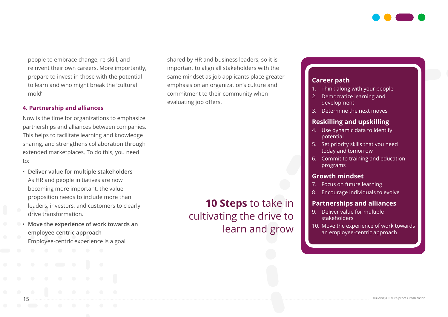

people to embrace change, re-skill, and reinvent their own careers. More importantly, prepare to invest in those with the potential to learn and who might break the 'cultural mold'.

#### **4. Partnership and alliances**

Now is the time for organizations to emphasize partnerships and alliances between companies. This helps to facilitate learning and knowledge sharing, and strengthens collaboration through extended marketplaces. To do this, you need to:

- **Deliver value for multiple stakeholders** As HR and people initiatives are now becoming more important, the value proposition needs to include more than leaders, investors, and customers to clearly drive transformation.
- **Move the experience of work towards an employee-centric approach**  Employee-centric experience is a goal

shared by HR and business leaders, so it is important to align all stakeholders with the same mindset as job applicants place greater emphasis on an organization's culture and commitment to their community when evaluating job offers.

## **10 Steps** to take in cultivating the drive to learn and grow

#### **Career path**

- 1. Think along with your people
- 2. Democratize learning and development
- 3. Determine the next moves

#### **Reskilling and upskilling**

- 4. Use dynamic data to identify potential
- 5. Set priority skills that you need today and tomorrow
- 6. Commit to training and education programs

#### **Growth mindset**

- 7. Focus on future learning
- 8. Encourage individuals to evolve

#### **Partnerships and alliances**

- 9. Deliver value for multiple stakeholders
- 10. Move the experience of work towards an employee-centric approach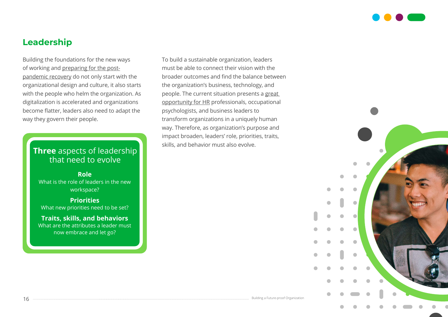

### **Leadership**

Building the foundations for the new ways of working and [preparing for the post](https://www.shl.com/en/blog/time-for-organizations-to-start-preparing-for-the-post-pandemic-recovery/)[pandemic recovery](https://www.shl.com/en/blog/time-for-organizations-to-start-preparing-for-the-post-pandemic-recovery/) do not only start with the organizational design and culture, it also starts with the people who helm the organization. As digitalization is accelerated and organizations become flatter, leaders also need to adapt the way they govern their people.

### **Three** aspects of leadership that need to evolve

**Role** What is the role of leaders in the new workspace?

**Priorities** What new priorities need to be set?

**Traits, skills, and behaviors** What are the attributes a leader must now embrace and let go?

To build a sustainable organization, leaders must be able to connect their vision with the broader outcomes and find the balance between the organization's business, technology, and people. The current situation presents a [great](https://www.shl.com/en/blog/a-new-opportunity-for-human-resources-as-transformation-curators/)  [opportunity for HR](https://www.shl.com/en/blog/a-new-opportunity-for-human-resources-as-transformation-curators/) professionals, occupational psychologists, and business leaders to transform organizations in a uniquely human way. Therefore, as organization's purpose and impact broaden, leaders' role, priorities, traits, skills, and behavior must also evolve.

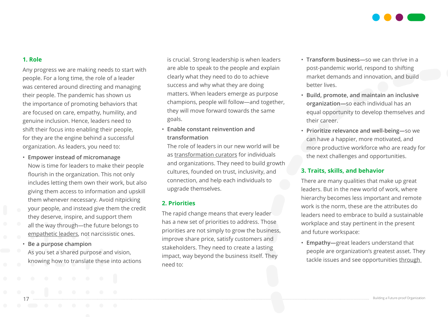

#### **1. Role**

Any progress we are making needs to start with people. For a long time, the role of a leader was centered around directing and managing their people. The pandemic has shown us the importance of promoting behaviors that are focused on care, empathy, humility, and genuine inclusion. Hence, leaders need to shift their focus into enabling their people, for they are the engine behind a successful organization. As leaders, you need to:

- **Empower instead of micromanage** Now is time for leaders to make their people flourish in the organization. This not only includes letting them own their work, but also giving them access to information and upskill them whenever necessary. Avoid nitpicking your people, and instead give them the credit they deserve, inspire, and support them all the way through—the future belongs to [empathetic leaders,](https://www.shl.com/en/blog/why-we-need-empathetic-leadership-more-than-ever/) not narcissistic ones.
- **Be a purpose champion** As you set a shared purpose and vision, knowing how to translate these into actions

is crucial. Strong leadership is when leaders are able to speak to the people and explain clearly what they need to do to achieve success and why what they are doing matters. When leaders emerge as purpose champions, people will follow—and together, they will move forward towards the same goals.

• **Enable constant reinvention and transformation**

The role of leaders in our new world will be as [transformation curators](https://www.shl.com/en/blog/a-new-opportunity-for-human-resources-as-transformation-curators/) for individuals and organizations. They need to build growth cultures, founded on trust, inclusivity, and connection, and help each individuals to upgrade themselves.

#### **2. Priorities**

The rapid change means that every leader has a new set of priorities to address. Those priorities are not simply to grow the business, improve share price, satisfy customers and stakeholders. They need to create a lasting impact, way beyond the business itself. They need to:

- **Transform business—**so we can thrive in a post-pandemic world, respond to shifting market demands and innovation, and build better lives.
- **Build, promote, and maintain an inclusive organization—**so each individual has an equal opportunity to develop themselves and their career.
- **Prioritize relevance and well-being—**so we can have a happier, more motivated, and more productive workforce who are ready for the next challenges and opportunities.

#### **3. Traits, skills, and behavior**

There are many qualities that make up great leaders. But in the new world of work, where hierarchy becomes less important and remote work is the norm, these are the attributes do leaders need to embrace to build a sustainable workplace and stay pertinent in the present and future workspace:

• **Empathy—**great leaders understand that people are organization's greatest asset. They tackle issues and see opportunities [through](https://www.shl.com/en/blog/in-a-world-turned-upside-down-view-things-through-the-eyes-of-your-people/) 

17 Building a Future-proof Organization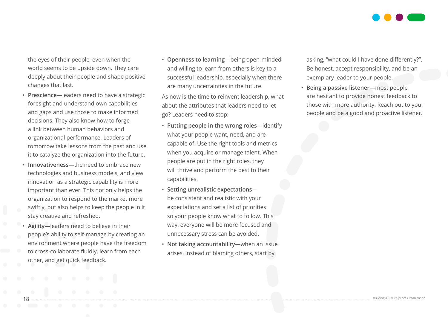

[the eyes of their people](https://www.shl.com/en/blog/in-a-world-turned-upside-down-view-things-through-the-eyes-of-your-people/), even when the world seems to be upside down. They care deeply about their people and shape positive changes that last.

- **Prescience—**leaders need to have a strategic foresight and understand own capabilities and gaps and use those to make informed decisions. They also know how to forge a link between human behaviors and organizational performance. Leaders of tomorrow take lessons from the past and use it to catalyze the organization into the future.
- **Innovativeness—**the need to embrace new technologies and business models, and view innovation as a strategic capability is more important than ever. This not only helps the organization to respond to the market more swiftly, but also helps to keep the people in it stay creative and refreshed.
- **Agility—**leaders need to believe in their people's ability to self-manage by creating an environment where people have the freedom to cross-collaborate fluidly, learn from each other, and get quick feedback.

• **Openness to learning—**being open-minded and willing to learn from others is key to a successful leadership, especially when there are many uncertainties in the future.

As now is the time to reinvent leadership, what about the attributes that leaders need to let go? Leaders need to stop:

- **Putting people in the wrong roles—**identify what your people want, need, and are capable of. Use the [right tools and metrics](https://www.shl.com/en/solutions/recruit-select-candidates/) when you acquire or [manage talent.](https://www.shl.com/en/solutions/identify-develop-leaders/) When people are put in the right roles, they will thrive and perform the best to their capabilities.
- **Setting unrealistic expectations** be consistent and realistic with your expectations and set a list of priorities so your people know what to follow. This way, everyone will be more focused and unnecessary stress can be avoided.
- **Not taking accountability—**when an issue arises, instead of blaming others, start by

asking, "what could I have done differently?". Be honest, accept responsibility, and be an exemplary leader to your people.

• **Being a passive listener—**most people are hesitant to provide honest feedback to those with more authority. Reach out to your people and be a good and proactive listener.

18 Building a Future-proof Organization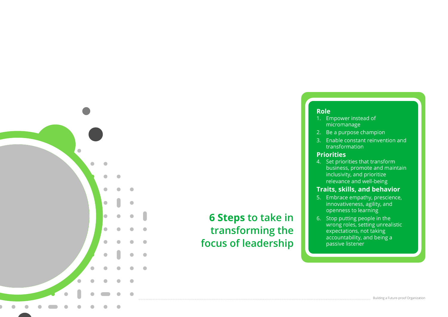

## **6 Steps to take in transforming the focus of leadership**

#### **Role**

- 1. Empower instead of micromanage
- 2. Be a purpose champion
- 3. Enable constant reinvention and transformation

#### **Priorities**

4. Set priorities that transform business, promote and maintain inclusivity, and prioritize relevance and well-being

#### **Traits, skills, and behavior**

- 5. Embrace empathy, prescience, innovativeness, agility, and openness to learning
- 6. Stop putting people in the wrong roles, setting unrealistic expectations, not taking accountability, and being a passive listener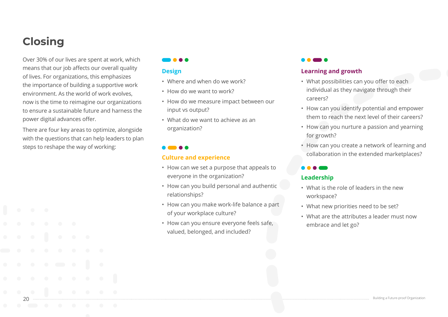## **Closing**

Over 30% of our lives are spent at work, which means that our job affects our overall quality of lives. For organizations, this emphasizes the importance of building a supportive work environment. As the world of work evolves, now is the time to reimagine our organizations to ensure a sustainable future and harness the power digital advances offer.

There are four key areas to optimize, alongside with the questions that can help leaders to plan steps to reshape the way of working:

#### **AAA**

#### **Design**

- Where and when do we work?
- How do we want to work?
- How do we measure impact between our input vs output?
- What do we want to achieve as an organization?

#### **Culture and experience**

- How can we set a purpose that appeals to everyone in the organization?
- How can you build personal and authentic relationships?
- How can you make work-life balance a part of your workplace culture?
- How can you ensure everyone feels safe, valued, belonged, and included?

#### **Learning and growth**

- What possibilities can you offer to each individual as they navigate through their careers?
- How can you identify potential and empower them to reach the next level of their careers?
- How can you nurture a passion and yearning for growth?
- How can you create a network of learning and collaboration in the extended marketplaces?

#### **Leadership**

- What is the role of leaders in the new workspace?
- What new priorities need to be set?
- What are the attributes a leader must now embrace and let go?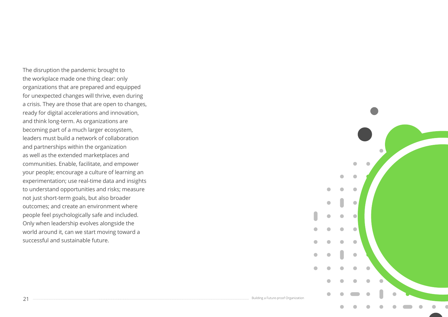The disruption the pandemic brought to the workplace made one thing clear: only organizations that are prepared and equipped for unexpected changes will thrive, even during a crisis. They are those that are open to changes, ready for digital accelerations and innovation, and think long-term. As organizations are becoming part of a much larger ecosystem, leaders must build a network of collaboration and partnerships within the organization as well as the extended marketplaces and communities. Enable, facilitate, and empower your people; encourage a culture of learning an experimentation; use real-time data and insights to understand opportunities and risks; measure not just short-term goals, but also broader outcomes; and create an environment where people feel psychologically safe and included. Only when leadership evolves alongside the world around it, can we start moving toward a successful and sustainable future.



 $\,21\,$  Building a Future-proof Organization and the set of the set of the set of the set of the set of the set of the set of the set of the set of the set of organization and the set of the set of the set of the set of t